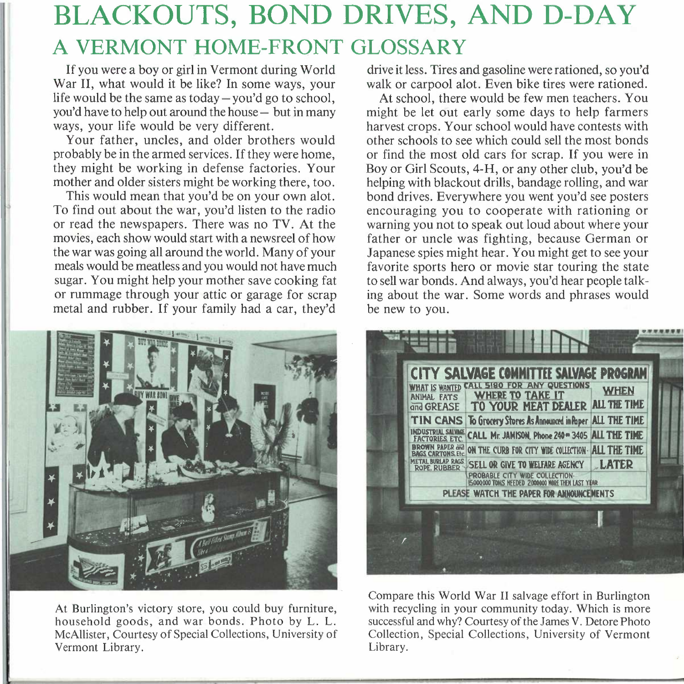## **BLACKOUTS, BOND DRIVES, AND D-DAY A VERMONT HOME-FRONT GLOSSARY**

If you were a boy or girl in Vermont during World War II, what would it be like? In some ways, your life would be the same as today  $-\gamma$  you'd go to school, you'd have to help out around the house- but in many ways, your life would be very different.

Your father, uncles, and older brothers would probably be in the armed services. If they were home, they might be working in defense factories. Your mother and older sisters might be working there, too.

This would mean that you'd be on your own alot. To find out about the war, you'd listen to the radio or read the newspapers. There was no TV. At the movies, each show would start with a newsreel of how the war was going all around the world. Many of your meals would be meatless and you would not have much sugar. You might help your mother save cooking fat or rummage through your attic or garage for scrap metal and rubber. If your family had a car, they'd



At Burlington's victory store, you could buy furniture, household goods, and war bonds. Photo by L. L. McAllister, Courtesy of Special Collections, University of Vermont Library.

drive it less. Tires and gasoline were rationed, so you'd walk or carpool alot. Even bike tires were rationed.

At school, there would be few men teachers. You might be let out early some days to help farmers harvest crops. Your school would have contests with other schools to see which could sell the most bonds or find the most old cars for scrap. If you were in Boy or Girl Scouts, 4-H, or any other club, you'd be helping with blackout drills, bandage rolling, and war bond drives. Everywhere you went you'd see posters encouraging you to cooperate with rationing or warning you not to speak out loud about where your father or uncle was fighting, because German or Japanese spies might hear. You might get to see your favorite sports hero or movie star touring the state to sell war bonds. And always, you'd hear people talking about the war. Some words and phrases would be new to you.



Compare this World War II salvage effort in Burlington with recycling in your community today. Which is more successful and why? Courtesy of the James V. Detore Photo Collection, Special Collections, University of Vermont Library.